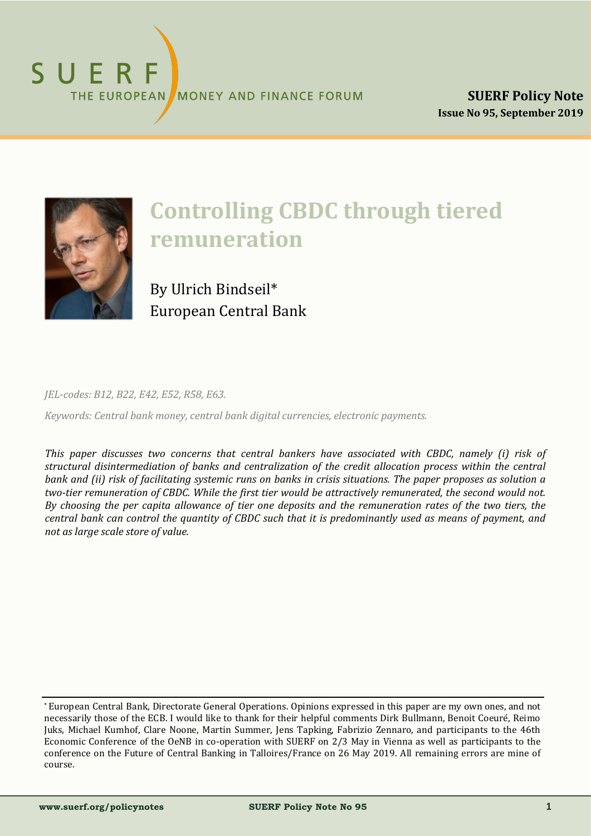# THE EUROPEAN MONEY AND FINANCE FORUM



## **Controlling CBDC through tiered remuneration**

### By Ulrich Bindseil\* European Central Bank

*JEL-codes: B12, B22, E42, E52, R58, E63.* 

*Keywords: Central bank money, central bank digital currencies, electronic payments.* 

*This paper discusses two concerns that central bankers have associated with CBDC, namely (i) risk of structural disintermediation of banks and centralization of the credit allocation process within the central bank and (ii) risk of facilitating systemic runs on banks in crisis situations. The paper proposes as solution a two-tier remuneration of CBDC. While the first tier would be attractively remunerated, the second would not. By choosing the per capita allowance of tier one deposits and the remuneration rates of the two tiers, the central bank can control the quantity of CBDC such that it is predominantly used as means of payment, and not as large scale store of value.*

\* European Central Bank, Directorate General Operations. Opinions expressed in this paper are my own ones, and not necessarily those of the ECB. I would like to thank for their helpful comments Dirk Bullmann, Benoit Coeuré, Reimo Juks, Michael Kumhof, Clare Noone, Martin Summer, Jens Tapking, Fabrizio Zennaro, and participants to the 46th Economic Conference of the OeNB in co-operation with SUERF on 2/3 May in Vienna as well as participants to the conference on the Future of Central Banking in Talloires/France on 26 May 2019. All remaining errors are mine of course.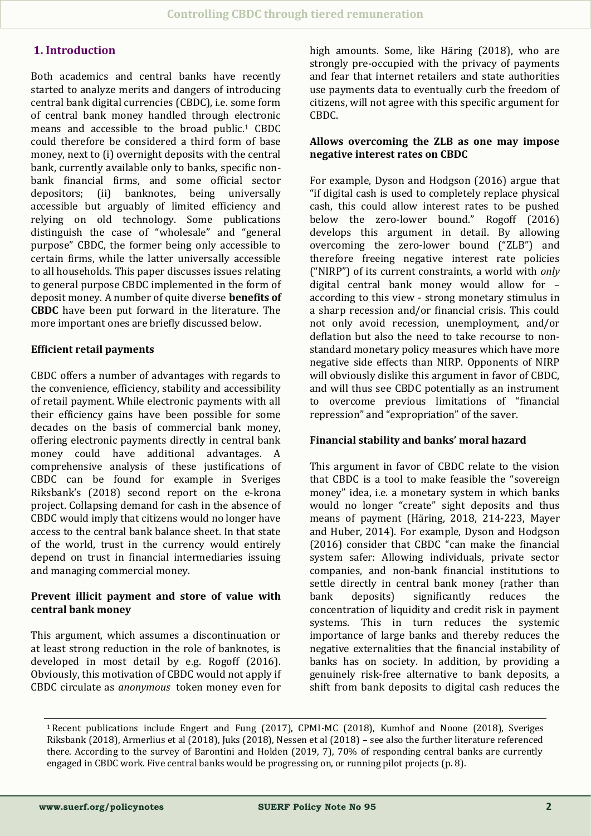#### **1. Introduction**

Both academics and central banks have recently started to analyze merits and dangers of introducing central bank digital currencies (CBDC), i.e. some form of central bank money handled through electronic means and accessible to the broad public.<sup>1</sup> CBDC could therefore be considered a third form of base money, next to (i) overnight deposits with the central bank, currently available only to banks, specific nonbank financial firms, and some official sector depositors; (ii) banknotes, being universally accessible but arguably of limited efficiency and relying on old technology. Some publications distinguish the case of "wholesale" and "general purpose" CBDC, the former being only accessible to certain firms, while the latter universally accessible to all households. This paper discusses issues relating to general purpose CBDC implemented in the form of deposit money. A number of quite diverse **benefits of CBDC** have been put forward in the literature. The more important ones are briefly discussed below.

#### **Efficient retail payments**

CBDC offers a number of advantages with regards to the convenience, efficiency, stability and accessibility of retail payment. While electronic payments with all their efficiency gains have been possible for some decades on the basis of commercial bank money, offering electronic payments directly in central bank money could have additional advantages. A comprehensive analysis of these justifications of CBDC can be found for example in Sveriges Riksbank's (2018) second report on the e-krona project. Collapsing demand for cash in the absence of CBDC would imply that citizens would no longer have access to the central bank balance sheet. In that state of the world, trust in the currency would entirely depend on trust in financial intermediaries issuing and managing commercial money.

#### **Prevent illicit payment and store of value with central bank money**

This argument, which assumes a discontinuation or at least strong reduction in the role of banknotes, is developed in most detail by e.g. Rogoff (2016). Obviously, this motivation of CBDC would not apply if CBDC circulate as *anonymous* token money even for high amounts. Some, like Häring (2018), who are strongly pre-occupied with the privacy of payments and fear that internet retailers and state authorities use payments data to eventually curb the freedom of citizens, will not agree with this specific argument for CBDC.

#### **Allows overcoming the ZLB as one may impose negative interest rates on CBDC**

For example, Dyson and Hodgson (2016) argue that "if digital cash is used to completely replace physical cash, this could allow interest rates to be pushed below the zero-lower bound." Rogoff (2016) develops this argument in detail. By allowing overcoming the zero-lower bound ("ZLB") and therefore freeing negative interest rate policies ("NIRP") of its current constraints, a world with *only* digital central bank money would allow for – according to this view - strong monetary stimulus in a sharp recession and/or financial crisis. This could not only avoid recession, unemployment, and/or deflation but also the need to take recourse to nonstandard monetary policy measures which have more negative side effects than NIRP. Opponents of NIRP will obviously dislike this argument in favor of CBDC, and will thus see CBDC potentially as an instrument to overcome previous limitations of "financial repression" and "expropriation" of the saver.

#### **Financial stability and banks' moral hazard**

This argument in favor of CBDC relate to the vision that CBDC is a tool to make feasible the "sovereign money" idea, i.e. a monetary system in which banks would no longer "create" sight deposits and thus means of payment (Häring, 2018, 214-223, Mayer and Huber, 2014). For example, Dyson and Hodgson (2016) consider that CBDC "can make the financial system safer: Allowing individuals, private sector companies, and non-bank financial institutions to settle directly in central bank money (rather than bank deposits) significantly reduces the concentration of liquidity and credit risk in payment systems. This in turn reduces the systemic importance of large banks and thereby reduces the negative externalities that the financial instability of banks has on society. In addition, by providing a genuinely risk-free alternative to bank deposits, a shift from bank deposits to digital cash reduces the

<sup>1</sup>Recent publications include Engert and Fung (2017), CPMI-MC (2018), Kumhof and Noone (2018), Sveriges Riksbank (2018), Armerlius et al (2018), Juks (2018), Nessen et al (2018) – see also the further literature referenced there. According to the survey of Barontini and Holden (2019, 7), 70% of responding central banks are currently engaged in CBDC work. Five central banks would be progressing on, or running pilot projects (p. 8).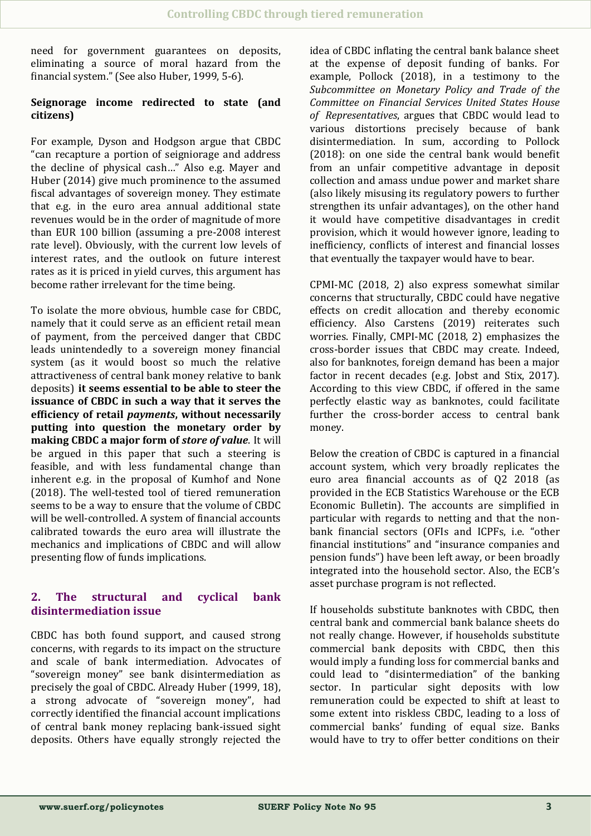need for government guarantees on deposits, eliminating a source of moral hazard from the financial system." (See also Huber, 1999, 5-6).

#### **Seignorage income redirected to state (and citizens)**

For example, Dyson and Hodgson argue that CBDC "can recapture a portion of seigniorage and address the decline of physical cash…" Also e.g. Mayer and Huber (2014) give much prominence to the assumed fiscal advantages of sovereign money. They estimate that e.g. in the euro area annual additional state revenues would be in the order of magnitude of more than EUR 100 billion (assuming a pre-2008 interest rate level). Obviously, with the current low levels of interest rates, and the outlook on future interest rates as it is priced in yield curves, this argument has become rather irrelevant for the time being.

To isolate the more obvious, humble case for CBDC, namely that it could serve as an efficient retail mean of payment, from the perceived danger that CBDC leads unintendedly to a sovereign money financial system (as it would boost so much the relative attractiveness of central bank money relative to bank deposits) **it seems essential to be able to steer the issuance of CBDC in such a way that it serves the efficiency of retail** *payments***, without necessarily putting into question the monetary order by making CBDC a major form of** *store of value*. It will be argued in this paper that such a steering is feasible, and with less fundamental change than inherent e.g. in the proposal of Kumhof and None (2018). The well-tested tool of tiered remuneration seems to be a way to ensure that the volume of CBDC will be well-controlled. A system of financial accounts calibrated towards the euro area will illustrate the mechanics and implications of CBDC and will allow presenting flow of funds implications.

#### **2. The structural and cyclical bank disintermediation issue**

CBDC has both found support, and caused strong concerns, with regards to its impact on the structure and scale of bank intermediation. Advocates of "sovereign money" see bank disintermediation as precisely the goal of CBDC. Already Huber (1999, 18), a strong advocate of "sovereign money", had correctly identified the financial account implications of central bank money replacing bank-issued sight deposits. Others have equally strongly rejected the idea of CBDC inflating the central bank balance sheet at the expense of deposit funding of banks. For example, Pollock (2018), in a testimony to the *Subcommittee on Monetary Policy and Trade of the Committee on Financial Services United States House of Representatives*, argues that CBDC would lead to various distortions precisely because of bank disintermediation. In sum, according to Pollock (2018): on one side the central bank would benefit from an unfair competitive advantage in deposit collection and amass undue power and market share (also likely misusing its regulatory powers to further strengthen its unfair advantages), on the other hand it would have competitive disadvantages in credit provision, which it would however ignore, leading to inefficiency, conflicts of interest and financial losses that eventually the taxpayer would have to bear.

CPMI-MC (2018, 2) also express somewhat similar concerns that structurally, CBDC could have negative effects on credit allocation and thereby economic efficiency. Also Carstens (2019) reiterates such worries. Finally, CMPI-MC (2018, 2) emphasizes the cross-border issues that CBDC may create. Indeed, also for banknotes, foreign demand has been a major factor in recent decades (e.g. Jobst and Stix, 2017). According to this view CBDC, if offered in the same perfectly elastic way as banknotes, could facilitate further the cross-border access to central bank money.

Below the creation of CBDC is captured in a financial account system, which very broadly replicates the euro area financial accounts as of Q2 2018 (as provided in the ECB Statistics Warehouse or the ECB Economic Bulletin). The accounts are simplified in particular with regards to netting and that the nonbank financial sectors (OFIs and ICPFs, i.e. "other financial institutions" and "insurance companies and pension funds") have been left away, or been broadly integrated into the household sector. Also, the ECB's asset purchase program is not reflected.

If households substitute banknotes with CBDC, then central bank and commercial bank balance sheets do not really change. However, if households substitute commercial bank deposits with CBDC, then this would imply a funding loss for commercial banks and could lead to "disintermediation" of the banking sector. In particular sight deposits with low remuneration could be expected to shift at least to some extent into riskless CBDC, leading to a loss of commercial banks' funding of equal size. Banks would have to try to offer better conditions on their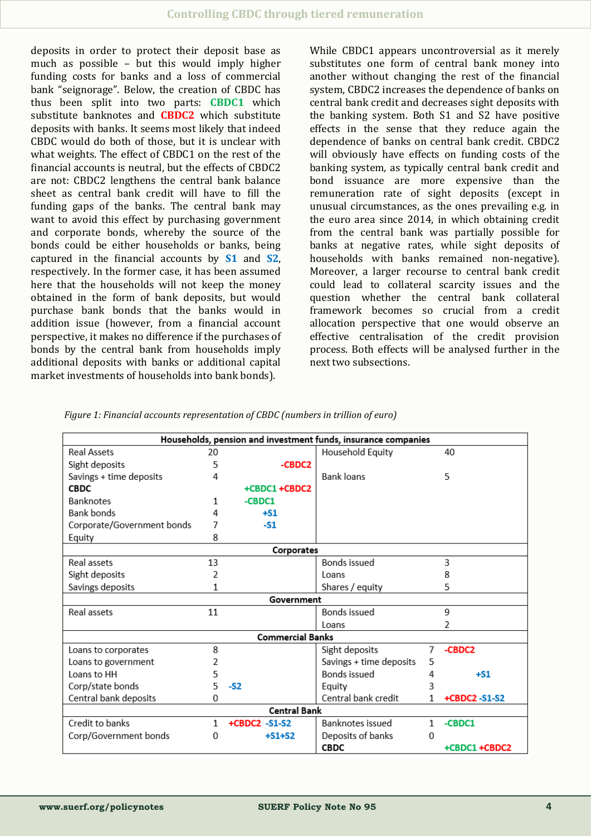deposits in order to protect their deposit base as much as possible – but this would imply higher funding costs for banks and a loss of commercial bank "seignorage". Below, the creation of CBDC has thus been split into two parts: **CBDC1** which substitute banknotes and **CBDC2** which substitute deposits with banks. It seems most likely that indeed CBDC would do both of those, but it is unclear with what weights. The effect of CBDC1 on the rest of the financial accounts is neutral, but the effects of CBDC2 are not: CBDC2 lengthens the central bank balance sheet as central bank credit will have to fill the funding gaps of the banks. The central bank may want to avoid this effect by purchasing government and corporate bonds, whereby the source of the bonds could be either households or banks, being captured in the financial accounts by **S1** and **S2**, respectively. In the former case, it has been assumed here that the households will not keep the money obtained in the form of bank deposits, but would purchase bank bonds that the banks would in addition issue (however, from a financial account perspective, it makes no difference if the purchases of bonds by the central bank from households imply additional deposits with banks or additional capital market investments of households into bank bonds).

While CBDC1 appears uncontroversial as it merely substitutes one form of central bank money into another without changing the rest of the financial system, CBDC2 increases the dependence of banks on central bank credit and decreases sight deposits with the banking system. Both S1 and S2 have positive effects in the sense that they reduce again the dependence of banks on central bank credit. CBDC2 will obviously have effects on funding costs of the banking system, as typically central bank credit and bond issuance are more expensive than the remuneration rate of sight deposits (except in unusual circumstances, as the ones prevailing e.g. in the euro area since 2014, in which obtaining credit from the central bank was partially possible for banks at negative rates, while sight deposits of households with banks remained non-negative). Moreover, a larger recourse to central bank credit could lead to collateral scarcity issues and the question whether the central bank collateral framework becomes so crucial from a credit allocation perspective that one would observe an effective centralisation of the credit provision process. Both effects will be analysed further in the next two subsections.

*Figure 1: Financial accounts representation of CBDC (numbers in trillion of euro)*

| Households, pension and investment funds, insurance companies |    |                 |                         |   |               |  |
|---------------------------------------------------------------|----|-----------------|-------------------------|---|---------------|--|
| <b>Real Assets</b>                                            | 20 |                 | Household Equity        |   | 40            |  |
| Sight deposits                                                | 5  | -CBDC2          |                         |   |               |  |
| Savings + time deposits                                       | 4  |                 | <b>Bank loans</b>       |   | 5             |  |
| <b>CBDC</b>                                                   |    | +CBDC1+CBDC2    |                         |   |               |  |
| <b>Banknotes</b>                                              | 1  | -CBDC1          |                         |   |               |  |
| <b>Bank bonds</b>                                             | 4  | $+51$           |                         |   |               |  |
| Corporate/Government bonds                                    | 7  | $-S1$           |                         |   |               |  |
| Equity                                                        | 8  |                 |                         |   |               |  |
| Corporates                                                    |    |                 |                         |   |               |  |
| Real assets                                                   | 13 |                 | <b>Bonds</b> issued     |   | 3             |  |
| Sight deposits                                                | 2  |                 | Loans                   |   | 8             |  |
| Savings deposits                                              | 1  |                 | Shares / equity         |   | 5             |  |
| Government                                                    |    |                 |                         |   |               |  |
| Real assets                                                   | 11 |                 | Bonds issued            |   | 9             |  |
|                                                               |    |                 | Loans                   |   | 2             |  |
| <b>Commercial Banks</b>                                       |    |                 |                         |   |               |  |
| Loans to corporates                                           | 8  |                 | Sight deposits          | 7 | $-CBDC2$      |  |
| Loans to government                                           | 2  |                 | Savings + time deposits | 5 |               |  |
| Loans to HH                                                   | 5  |                 | Bonds issued            | 4 | $+51$         |  |
| Corp/state bonds                                              | 5  | $-S2$           | Equity                  | 3 |               |  |
| Central bank deposits                                         | 0  |                 | Central bank credit     | 1 | +CBDC2 -S1-S2 |  |
| <b>Central Bank</b>                                           |    |                 |                         |   |               |  |
| Credit to banks                                               | 1. | $+CBDC2 -S1-S2$ | Banknotes issued        | 1 | -CBDC1        |  |
| Corp/Government bonds                                         | 0  | $+51+52$        | Deposits of banks       | 0 |               |  |
|                                                               |    |                 | <b>CBDC</b>             |   | +CBDC1 +CBDC2 |  |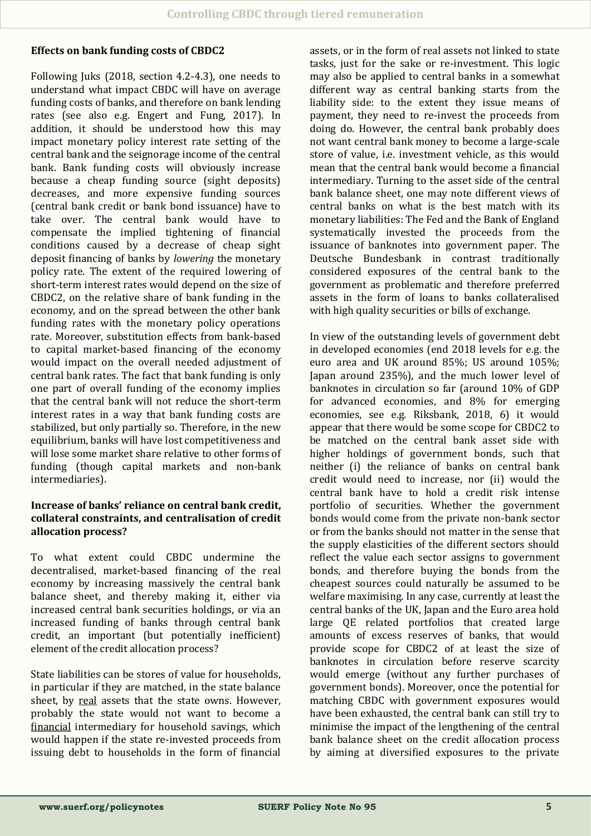#### **Effects on bank funding costs of CBDC2**

Following Juks (2018, section 4.2-4.3), one needs to understand what impact CBDC will have on average funding costs of banks, and therefore on bank lending rates (see also e.g. Engert and Fung, 2017). In addition, it should be understood how this may impact monetary policy interest rate setting of the central bank and the seignorage income of the central bank. Bank funding costs will obviously increase because a cheap funding source (sight deposits) decreases, and more expensive funding sources (central bank credit or bank bond issuance) have to take over. The central bank would have to compensate the implied tightening of financial conditions caused by a decrease of cheap sight deposit financing of banks by *lowering* the monetary policy rate. The extent of the required lowering of short-term interest rates would depend on the size of CBDC2, on the relative share of bank funding in the economy, and on the spread between the other bank funding rates with the monetary policy operations rate. Moreover, substitution effects from bank-based to capital market-based financing of the economy would impact on the overall needed adjustment of central bank rates. The fact that bank funding is only one part of overall funding of the economy implies that the central bank will not reduce the short-term interest rates in a way that bank funding costs are stabilized, but only partially so. Therefore, in the new equilibrium, banks will have lost competitiveness and will lose some market share relative to other forms of funding (though capital markets and non-bank intermediaries).

#### **Increase of banks' reliance on central bank credit, collateral constraints, and centralisation of credit allocation process?**

To what extent could CBDC undermine the decentralised, market-based financing of the real economy by increasing massively the central bank balance sheet, and thereby making it, either via increased central bank securities holdings, or via an increased funding of banks through central bank credit, an important (but potentially inefficient) element of the credit allocation process?

State liabilities can be stores of value for households, in particular if they are matched, in the state balance sheet, by real assets that the state owns. However, probably the state would not want to become a financial intermediary for household savings, which would happen if the state re-invested proceeds from issuing debt to households in the form of financial assets, or in the form of real assets not linked to state tasks, just for the sake or re-investment. This logic may also be applied to central banks in a somewhat different way as central banking starts from the liability side: to the extent they issue means of payment, they need to re-invest the proceeds from doing do. However, the central bank probably does not want central bank money to become a large-scale store of value, i.e. investment vehicle, as this would mean that the central bank would become a financial intermediary. Turning to the asset side of the central bank balance sheet, one may note different views of central banks on what is the best match with its monetary liabilities: The Fed and the Bank of England systematically invested the proceeds from the issuance of banknotes into government paper. The Deutsche Bundesbank in contrast traditionally considered exposures of the central bank to the government as problematic and therefore preferred assets in the form of loans to banks collateralised with high quality securities or bills of exchange.

In view of the outstanding levels of government debt in developed economies (end 2018 levels for e.g. the euro area and UK around 85%; US around 105%; Japan around 235%), and the much lower level of banknotes in circulation so far (around 10% of GDP for advanced economies, and 8% for emerging economies, see e.g. Riksbank, 2018, 6) it would appear that there would be some scope for CBDC2 to be matched on the central bank asset side with higher holdings of government bonds, such that neither (i) the reliance of banks on central bank credit would need to increase, nor (ii) would the central bank have to hold a credit risk intense portfolio of securities. Whether the government bonds would come from the private non-bank sector or from the banks should not matter in the sense that the supply elasticities of the different sectors should reflect the value each sector assigns to government bonds, and therefore buying the bonds from the cheapest sources could naturally be assumed to be welfare maximising. In any case, currently at least the central banks of the UK, Japan and the Euro area hold large QE related portfolios that created large amounts of excess reserves of banks, that would provide scope for CBDC2 of at least the size of banknotes in circulation before reserve scarcity would emerge (without any further purchases of government bonds). Moreover, once the potential for matching CBDC with government exposures would have been exhausted, the central bank can still try to minimise the impact of the lengthening of the central bank balance sheet on the credit allocation process by aiming at diversified exposures to the private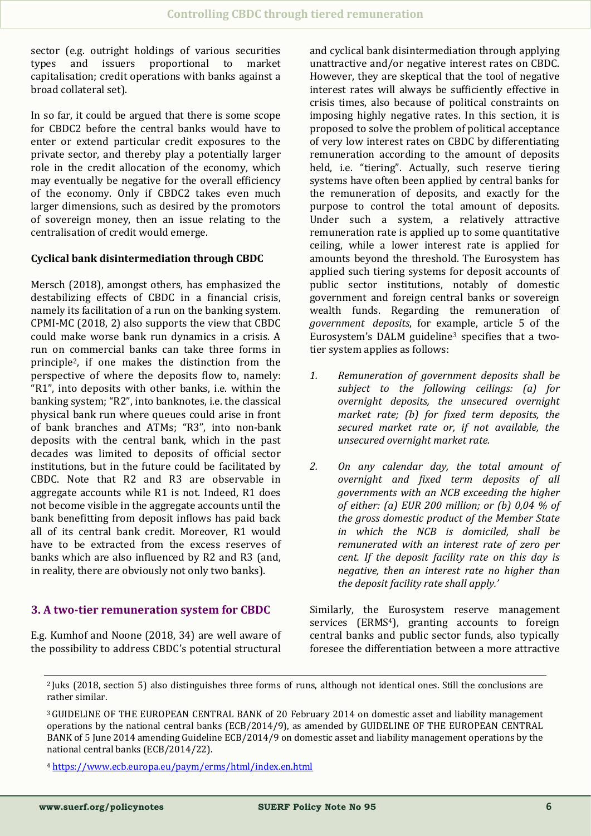sector (e.g. outright holdings of various securities types and issuers proportional to market capitalisation; credit operations with banks against a broad collateral set).

In so far, it could be argued that there is some scope for CBDC2 before the central banks would have to enter or extend particular credit exposures to the private sector, and thereby play a potentially larger role in the credit allocation of the economy, which may eventually be negative for the overall efficiency of the economy. Only if CBDC2 takes even much larger dimensions, such as desired by the promotors of sovereign money, then an issue relating to the centralisation of credit would emerge.

#### **Cyclical bank disintermediation through CBDC**

Mersch (2018), amongst others, has emphasized the destabilizing effects of CBDC in a financial crisis, namely its facilitation of a run on the banking system. CPMI-MC (2018, 2) also supports the view that CBDC could make worse bank run dynamics in a crisis. A run on commercial banks can take three forms in principle2, if one makes the distinction from the perspective of where the deposits flow to, namely: "R1", into deposits with other banks, i.e. within the banking system; "R2", into banknotes, i.e. the classical physical bank run where queues could arise in front of bank branches and ATMs; "R3", into non-bank deposits with the central bank, which in the past decades was limited to deposits of official sector institutions, but in the future could be facilitated by CBDC. Note that R2 and R3 are observable in aggregate accounts while R1 is not. Indeed, R1 does not become visible in the aggregate accounts until the bank benefitting from deposit inflows has paid back all of its central bank credit. Moreover, R1 would have to be extracted from the excess reserves of banks which are also influenced by R2 and R3 (and, in reality, there are obviously not only two banks).

#### **3. A two-tier remuneration system for CBDC**

E.g. Kumhof and Noone (2018, 34) are well aware of the possibility to address CBDC's potential structural

and cyclical bank disintermediation through applying unattractive and/or negative interest rates on CBDC. However, they are skeptical that the tool of negative interest rates will always be sufficiently effective in crisis times, also because of political constraints on imposing highly negative rates. In this section, it is proposed to solve the problem of political acceptance of very low interest rates on CBDC by differentiating remuneration according to the amount of deposits held, i.e. "tiering". Actually, such reserve tiering systems have often been applied by central banks for the remuneration of deposits, and exactly for the purpose to control the total amount of deposits. Under such a system, a relatively attractive remuneration rate is applied up to some quantitative ceiling, while a lower interest rate is applied for amounts beyond the threshold. The Eurosystem has applied such tiering systems for deposit accounts of public sector institutions, notably of domestic government and foreign central banks or sovereign wealth funds. Regarding the remuneration of *government deposits*, for example, article 5 of the Eurosystem's DALM guideline<sup>3</sup> specifies that a twotier system applies as follows:

- *1. Remuneration of government deposits shall be subject to the following ceilings: (a) for overnight deposits, the unsecured overnight market rate; (b) for fixed term deposits, the secured market rate or, if not available, the unsecured overnight market rate.*
- *2. On any calendar day, the total amount of overnight and fixed term deposits of all governments with an NCB exceeding the higher of either: (a) EUR 200 million; or (b) 0,04 % of the gross domestic product of the Member State in which the NCB is domiciled, shall be remunerated with an interest rate of zero per cent. If the deposit facility rate on this day is negative, then an interest rate no higher than the deposit facility rate shall apply.'*

Similarly, the Eurosystem reserve management services (ERMS<sup>4</sup>), granting accounts to foreign central banks and public sector funds, also typically foresee the differentiation between a more attractive

<sup>4</sup> <https://www.ecb.europa.eu/paym/erms/html/index.en.html>

<sup>2</sup>Juks (2018, section 5) also distinguishes three forms of runs, although not identical ones. Still the conclusions are rather similar.

<sup>3</sup>GUIDELINE OF THE EUROPEAN CENTRAL BANK of 20 February 2014 on domestic asset and liability management operations by the national central banks (ECB/2014/9), as amended by GUIDELINE OF THE EUROPEAN CENTRAL BANK of 5 June 2014 amending Guideline ECB/2014/9 on domestic asset and liability management operations by the national central banks (ECB/2014/22).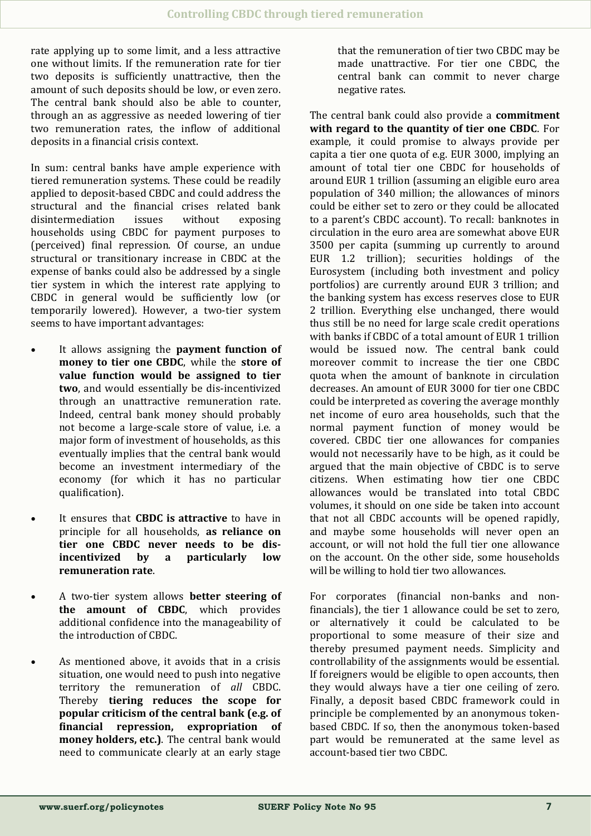rate applying up to some limit, and a less attractive one without limits. If the remuneration rate for tier two deposits is sufficiently unattractive, then the amount of such deposits should be low, or even zero. The central bank should also be able to counter, through an as aggressive as needed lowering of tier two remuneration rates, the inflow of additional deposits in a financial crisis context.

In sum: central banks have ample experience with tiered remuneration systems. These could be readily applied to deposit-based CBDC and could address the structural and the financial crises related bank disintermediation issues without exposing households using CBDC for payment purposes to (perceived) final repression. Of course, an undue structural or transitionary increase in CBDC at the expense of banks could also be addressed by a single tier system in which the interest rate applying to CBDC in general would be sufficiently low (or temporarily lowered). However, a two-tier system seems to have important advantages:

- It allows assigning the **payment function of money to tier one CBDC**, while the **store of value function would be assigned to tier two**, and would essentially be dis-incentivized through an unattractive remuneration rate. Indeed, central bank money should probably not become a large-scale store of value, i.e. a major form of investment of households, as this eventually implies that the central bank would become an investment intermediary of the economy (for which it has no particular qualification).
- It ensures that **CBDC is attractive** to have in principle for all households, **as reliance on tier one CBDC never needs to be disincentivized by a particularly low remuneration rate**.
- A two-tier system allows **better steering of the amount of CBDC**, which provides additional confidence into the manageability of the introduction of CBDC.
- As mentioned above, it avoids that in a crisis situation, one would need to push into negative territory the remuneration of *all* CBDC. Thereby **tiering reduces the scope for popular criticism of the central bank (e.g. of financial repression, expropriation of money holders, etc.)**. The central bank would need to communicate clearly at an early stage

that the remuneration of tier two CBDC may be made unattractive. For tier one CBDC, the central bank can commit to never charge negative rates.

The central bank could also provide a **commitment with regard to the quantity of tier one CBDC**. For example, it could promise to always provide per capita a tier one quota of e.g. EUR 3000, implying an amount of total tier one CBDC for households of around EUR 1 trillion (assuming an eligible euro area population of 340 million; the allowances of minors could be either set to zero or they could be allocated to a parent's CBDC account). To recall: banknotes in circulation in the euro area are somewhat above EUR 3500 per capita (summing up currently to around EUR 1.2 trillion); securities holdings of the Eurosystem (including both investment and policy portfolios) are currently around EUR 3 trillion; and the banking system has excess reserves close to EUR 2 trillion. Everything else unchanged, there would thus still be no need for large scale credit operations with banks if CBDC of a total amount of EUR 1 trillion would be issued now. The central bank could moreover commit to increase the tier one CBDC quota when the amount of banknote in circulation decreases. An amount of EUR 3000 for tier one CBDC could be interpreted as covering the average monthly net income of euro area households, such that the normal payment function of money would be covered. CBDC tier one allowances for companies would not necessarily have to be high, as it could be argued that the main objective of CBDC is to serve citizens. When estimating how tier one CBDC allowances would be translated into total CBDC volumes, it should on one side be taken into account that not all CBDC accounts will be opened rapidly, and maybe some households will never open an account, or will not hold the full tier one allowance on the account. On the other side, some households will be willing to hold tier two allowances.

For corporates (financial non-banks and nonfinancials), the tier 1 allowance could be set to zero, or alternatively it could be calculated to be proportional to some measure of their size and thereby presumed payment needs. Simplicity and controllability of the assignments would be essential. If foreigners would be eligible to open accounts, then they would always have a tier one ceiling of zero. Finally, a deposit based CBDC framework could in principle be complemented by an anonymous tokenbased CBDC. If so, then the anonymous token-based part would be remunerated at the same level as account-based tier two CBDC.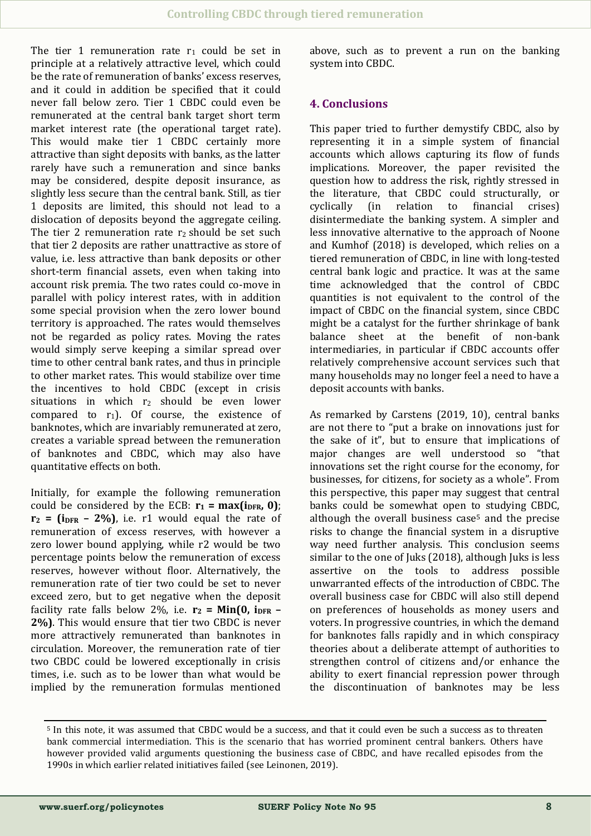The tier 1 remuneration rate  $r_1$  could be set in principle at a relatively attractive level, which could be the rate of remuneration of banks' excess reserves, and it could in addition be specified that it could never fall below zero. Tier 1 CBDC could even be remunerated at the central bank target short term market interest rate (the operational target rate). This would make tier 1 CBDC certainly more attractive than sight deposits with banks, as the latter rarely have such a remuneration and since banks may be considered, despite deposit insurance, as slightly less secure than the central bank. Still, as tier 1 deposits are limited, this should not lead to a dislocation of deposits beyond the aggregate ceiling. The tier 2 remuneration rate  $r_2$  should be set such that tier 2 deposits are rather unattractive as store of value, i.e. less attractive than bank deposits or other short-term financial assets, even when taking into account risk premia. The two rates could co-move in parallel with policy interest rates, with in addition some special provision when the zero lower bound territory is approached. The rates would themselves not be regarded as policy rates. Moving the rates would simply serve keeping a similar spread over time to other central bank rates, and thus in principle to other market rates. This would stabilize over time the incentives to hold CBDC (except in crisis situations in which r<sub>2</sub> should be even lower compared to  $r_1$ ). Of course, the existence of banknotes, which are invariably remunerated at zero, creates a variable spread between the remuneration of banknotes and CBDC, which may also have quantitative effects on both.

Initially, for example the following remuneration could be considered by the ECB:  $\mathbf{r}_1 = \text{max}(\mathbf{i}_{\text{DFR}}, \mathbf{0})$ ;  $r_2 = (i_{\text{DFR}} - 2\%)$ , i.e. r1 would equal the rate of remuneration of excess reserves, with however a zero lower bound applying, while r2 would be two percentage points below the remuneration of excess reserves, however without floor. Alternatively, the remuneration rate of tier two could be set to never exceed zero, but to get negative when the deposit facility rate falls below 2%, i.e.  $r_2 = Min(0, i_{DFR} -$ **2%)**. This would ensure that tier two CBDC is never more attractively remunerated than banknotes in circulation. Moreover, the remuneration rate of tier two CBDC could be lowered exceptionally in crisis times, i.e. such as to be lower than what would be implied by the remuneration formulas mentioned

above, such as to prevent a run on the banking system into CBDC.

#### **4. Conclusions**

This paper tried to further demystify CBDC, also by representing it in a simple system of financial accounts which allows capturing its flow of funds implications. Moreover, the paper revisited the question how to address the risk, rightly stressed in the literature, that CBDC could structurally, or cyclically (in relation to financial crises) disintermediate the banking system. A simpler and less innovative alternative to the approach of Noone and Kumhof (2018) is developed, which relies on a tiered remuneration of CBDC, in line with long-tested central bank logic and practice. It was at the same time acknowledged that the control of CBDC quantities is not equivalent to the control of the impact of CBDC on the financial system, since CBDC might be a catalyst for the further shrinkage of bank balance sheet at the benefit of non-bank intermediaries, in particular if CBDC accounts offer relatively comprehensive account services such that many households may no longer feel a need to have a deposit accounts with banks.

As remarked by Carstens (2019, 10), central banks are not there to "put a brake on innovations just for the sake of it", but to ensure that implications of major changes are well understood so "that innovations set the right course for the economy, for businesses, for citizens, for society as a whole". From this perspective, this paper may suggest that central banks could be somewhat open to studying CBDC, although the overall business case<sup>5</sup> and the precise risks to change the financial system in a disruptive way need further analysis. This conclusion seems similar to the one of Juks (2018), although Juks is less assertive on the tools to address possible unwarranted effects of the introduction of CBDC. The overall business case for CBDC will also still depend on preferences of households as money users and voters. In progressive countries, in which the demand for banknotes falls rapidly and in which conspiracy theories about a deliberate attempt of authorities to strengthen control of citizens and/or enhance the ability to exert financial repression power through the discontinuation of banknotes may be less

<sup>&</sup>lt;sup>5</sup> In this note, it was assumed that CBDC would be a success, and that it could even be such a success as to threaten bank commercial intermediation. This is the scenario that has worried prominent central bankers. Others have however provided valid arguments questioning the business case of CBDC, and have recalled episodes from the 1990s in which earlier related initiatives failed (see Leinonen, 2019).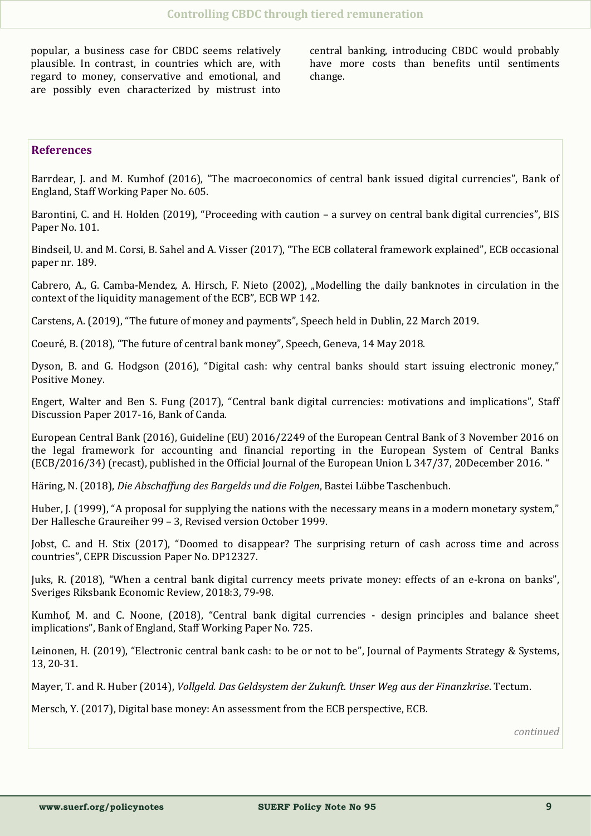popular, a business case for CBDC seems relatively plausible. In contrast, in countries which are, with regard to money, conservative and emotional, and are possibly even characterized by mistrust into central banking, introducing CBDC would probably have more costs than benefits until sentiments change.

#### **References**

Barrdear, J. and M. Kumhof (2016), "The macroeconomics of central bank issued digital currencies", Bank of England, Staff Working Paper No. 605.

Barontini, C. and H. Holden (2019), "Proceeding with caution – a survey on central bank digital currencies", BIS Paper No. 101.

Bindseil, U. and M. Corsi, B. Sahel and A. Visser (2017), "The ECB collateral framework explained", ECB occasional paper nr. 189.

Cabrero, A., G. Camba-Mendez, A. Hirsch, F. Nieto (2002), "Modelling the daily banknotes in circulation in the context of the liquidity management of the ECB", ECB WP 142.

Carstens, A. (2019), "The future of money and payments", Speech held in Dublin, 22 March 2019.

Coeuré, B. (2018), "The future of central bank money", Speech, Geneva, 14 May 2018.

Dyson, B. and G. Hodgson (2016), "Digital cash: why central banks should start issuing electronic money," Positive Money.

Engert, Walter and Ben S. Fung (2017), "Central bank digital currencies: motivations and implications", Staff Discussion Paper 2017-16, Bank of Canda.

European Central Bank (2016), Guideline (EU) 2016/2249 of the European Central Bank of 3 November 2016 on the legal framework for accounting and financial reporting in the European System of Central Banks (ECB/2016/34) (recast), published in the Official Journal of the European Union L 347/37, 20December 2016. "

Häring, N. (2018), *Die Abschaffung des Bargelds und die Folgen*, Bastei Lübbe Taschenbuch.

Huber, J. (1999), "A proposal for supplying the nations with the necessary means in a modern monetary system," Der Hallesche Graureiher 99 – 3, Revised version October 1999.

Jobst, C. and H. Stix (2017), "Doomed to disappear? The surprising return of cash across time and across countries", CEPR Discussion Paper No. DP12327.

Juks, R. (2018), "When a central bank digital currency meets private money: effects of an e-krona on banks", Sveriges Riksbank Economic Review, 2018:3, 79-98.

Kumhof, M. and C. Noone, (2018), "Central bank digital currencies - design principles and balance sheet implications", Bank of England, Staff Working Paper No. 725.

Leinonen, H. (2019), "Electronic central bank cash: to be or not to be", Journal of Payments Strategy & Systems, 13, 20-31.

Mayer, T. and R. Huber (2014), *Vollgeld. Das Geldsystem der Zukunft. Unser Weg aus der Finanzkrise*. Tectum.

Mersch, Y. (2017), Digital base money: An assessment from the ECB perspective, ECB.

*continued*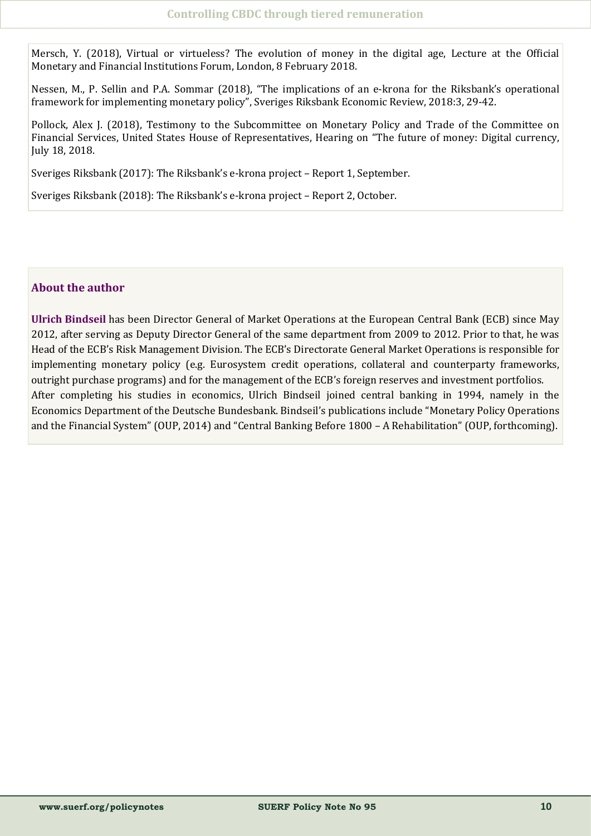Mersch, Y. (2018), Virtual or virtueless? The evolution of money in the digital age, Lecture at the Official Monetary and Financial Institutions Forum, London, 8 February 2018.

Nessen, M., P. Sellin and P.A. Sommar (2018), "The implications of an e-krona for the Riksbank's operational framework for implementing monetary policy", Sveriges Riksbank Economic Review, 2018:3, 29-42.

Pollock, Alex J. (2018), Testimony to the Subcommittee on Monetary Policy and Trade of the Committee on Financial Services, United States House of Representatives, Hearing on "The future of money: Digital currency, July 18, 2018.

Sveriges Riksbank (2017): The Riksbank's e-krona project – Report 1, September.

Sveriges Riksbank (2018): The Riksbank's e-krona project – Report 2, October.

#### **About the author**

**Ulrich Bindseil** has been Director General of Market Operations at the European Central Bank (ECB) since May 2012, after serving as Deputy Director General of the same department from 2009 to 2012. Prior to that, he was Head of the ECB's Risk Management Division. The ECB's Directorate General Market Operations is responsible for implementing monetary policy (e.g. Eurosystem credit operations, collateral and counterparty frameworks, outright purchase programs) and for the management of the ECB's foreign reserves and investment portfolios. After completing his studies in economics, Ulrich Bindseil joined central banking in 1994, namely in the Economics Department of the Deutsche Bundesbank. Bindseil's publications include "Monetary Policy Operations and the Financial System" (OUP, 2014) and "Central Banking Before 1800 – A Rehabilitation" (OUP, forthcoming).